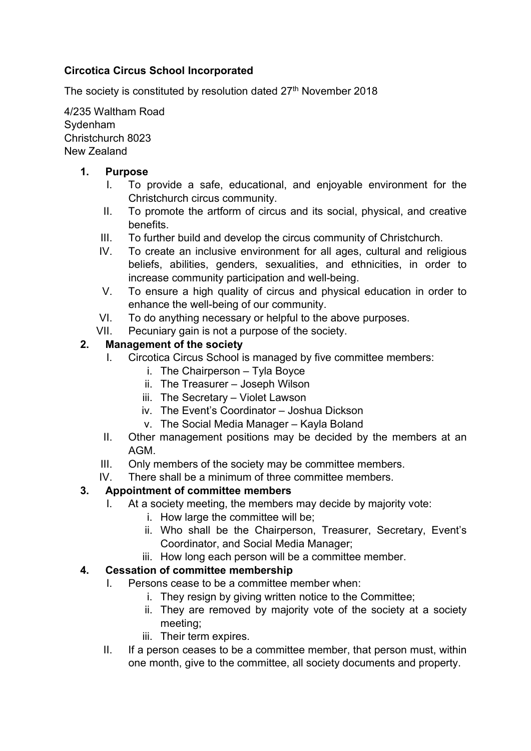## Circotica Circus School Incorporated

The society is constituted by resolution dated 27<sup>th</sup> November 2018

4/235 Waltham Road Sydenham Christchurch 8023 New Zealand

#### 1. Purpose

- I. To provide a safe, educational, and enjoyable environment for the Christchurch circus community.
- II. To promote the artform of circus and its social, physical, and creative benefits.
- III. To further build and develop the circus community of Christchurch.
- IV. To create an inclusive environment for all ages, cultural and religious beliefs, abilities, genders, sexualities, and ethnicities, in order to increase community participation and well-being.
- V. To ensure a high quality of circus and physical education in order to enhance the well-being of our community.
- VI. To do anything necessary or helpful to the above purposes.
- VII. Pecuniary gain is not a purpose of the society.

### 2. Management of the society

- I. Circotica Circus School is managed by five committee members:
	- i. The Chairperson Tyla Boyce
	- ii. The Treasurer Joseph Wilson
	- iii. The Secretary Violet Lawson
	- iv. The Event's Coordinator Joshua Dickson
	- v. The Social Media Manager Kayla Boland
- II. Other management positions may be decided by the members at an AGM.
- III. Only members of the society may be committee members.
- IV. There shall be a minimum of three committee members.

# 3. Appointment of committee members

- I. At a society meeting, the members may decide by majority vote:
	- i. How large the committee will be;
	- ii. Who shall be the Chairperson, Treasurer, Secretary, Event's Coordinator, and Social Media Manager;
	- iii. How long each person will be a committee member.

#### 4. Cessation of committee membership

- I. Persons cease to be a committee member when:
	- i. They resign by giving written notice to the Committee;
	- ii. They are removed by majority vote of the society at a society meeting;
	- iii. Their term expires.
- II. If a person ceases to be a committee member, that person must, within one month, give to the committee, all society documents and property.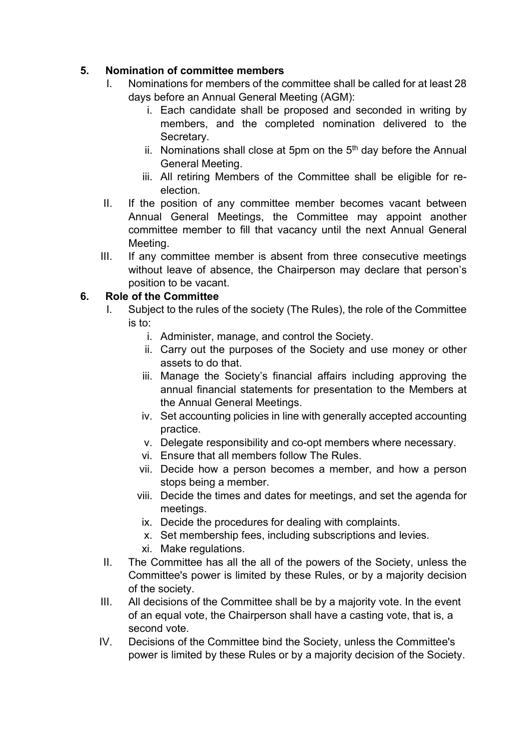## 5. Nomination of committee members

- I. Nominations for members of the committee shall be called for at least 28 days before an Annual General Meeting (AGM):
	- i. Each candidate shall be proposed and seconded in writing by members, and the completed nomination delivered to the Secretary.
	- ii. Nominations shall close at 5pm on the  $5<sup>th</sup>$  day before the Annual General Meeting.
	- iii. All retiring Members of the Committee shall be eligible for reelection.
- II. If the position of any committee member becomes vacant between Annual General Meetings, the Committee may appoint another committee member to fill that vacancy until the next Annual General Meeting.
- III. If any committee member is absent from three consecutive meetings without leave of absence, the Chairperson may declare that person's position to be vacant.

### 6. Role of the Committee

- I. Subject to the rules of the society (The Rules), the role of the Committee is to:
	- i. Administer, manage, and control the Society.
	- ii. Carry out the purposes of the Society and use money or other assets to do that.
	- iii. Manage the Society's financial affairs including approving the annual financial statements for presentation to the Members at the Annual General Meetings.
	- iv. Set accounting policies in line with generally accepted accounting practice.
	- v. Delegate responsibility and co-opt members where necessary.
	- vi. Ensure that all members follow The Rules.
	- vii. Decide how a person becomes a member, and how a person stops being a member.
	- viii. Decide the times and dates for meetings, and set the agenda for meetings.
	- ix. Decide the procedures for dealing with complaints.
	- x. Set membership fees, including subscriptions and levies.
	- xi. Make regulations.
- II. The Committee has all the all of the powers of the Society, unless the Committee's power is limited by these Rules, or by a majority decision of the society.
- III. All decisions of the Committee shall be by a majority vote. In the event of an equal vote, the Chairperson shall have a casting vote, that is, a second vote.
- IV. Decisions of the Committee bind the Society, unless the Committee's power is limited by these Rules or by a majority decision of the Society.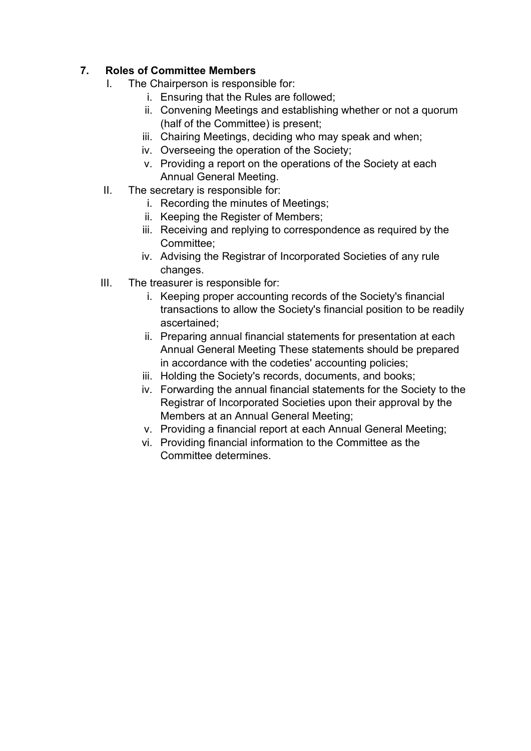# 7. Roles of Committee Members

- I. The Chairperson is responsible for:
	- i. Ensuring that the Rules are followed;
	- ii. Convening Meetings and establishing whether or not a quorum (half of the Committee) is present;
	- iii. Chairing Meetings, deciding who may speak and when:
	- iv. Overseeing the operation of the Society;
	- v. Providing a report on the operations of the Society at each Annual General Meeting.
- II. The secretary is responsible for:
	- i. Recording the minutes of Meetings;
	- ii. Keeping the Register of Members;
	- iii. Receiving and replying to correspondence as required by the Committee;
	- iv. Advising the Registrar of Incorporated Societies of any rule changes.
- III. The treasurer is responsible for:
	- i. Keeping proper accounting records of the Society's financial transactions to allow the Society's financial position to be readily ascertained;
	- ii. Preparing annual financial statements for presentation at each Annual General Meeting These statements should be prepared in accordance with the codeties' accounting policies;
	- iii. Holding the Society's records, documents, and books;
	- iv. Forwarding the annual financial statements for the Society to the Registrar of Incorporated Societies upon their approval by the Members at an Annual General Meeting;
	- v. Providing a financial report at each Annual General Meeting;
	- vi. Providing financial information to the Committee as the Committee determines.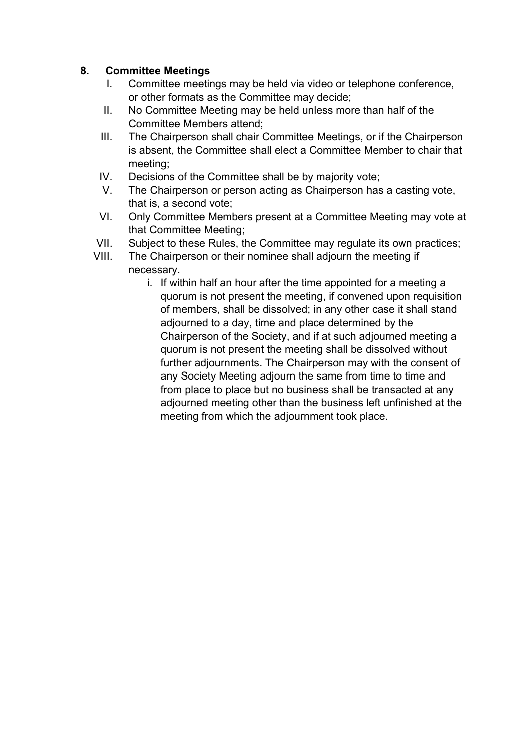### 8. Committee Meetings

- I. Committee meetings may be held via video or telephone conference, or other formats as the Committee may decide;
- II. No Committee Meeting may be held unless more than half of the Committee Members attend;
- III. The Chairperson shall chair Committee Meetings, or if the Chairperson is absent, the Committee shall elect a Committee Member to chair that meeting;
- IV. Decisions of the Committee shall be by majority vote;
- V. The Chairperson or person acting as Chairperson has a casting vote, that is, a second vote;
- VI. Only Committee Members present at a Committee Meeting may vote at that Committee Meeting;
- VII. Subject to these Rules, the Committee may regulate its own practices;
- VIII. The Chairperson or their nominee shall adjourn the meeting if necessary.
	- i. If within half an hour after the time appointed for a meeting a quorum is not present the meeting, if convened upon requisition of members, shall be dissolved; in any other case it shall stand adjourned to a day, time and place determined by the Chairperson of the Society, and if at such adjourned meeting a quorum is not present the meeting shall be dissolved without further adjournments. The Chairperson may with the consent of any Society Meeting adjourn the same from time to time and from place to place but no business shall be transacted at any adjourned meeting other than the business left unfinished at the meeting from which the adjournment took place.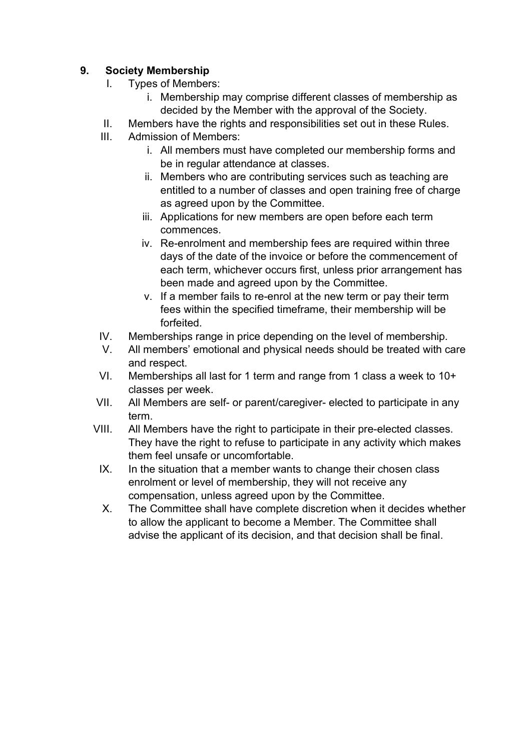### 9. Society Membership

- I. Types of Members:
	- i. Membership may comprise different classes of membership as decided by the Member with the approval of the Society.
- II. Members have the rights and responsibilities set out in these Rules.
- III. Admission of Members:
	- i. All members must have completed our membership forms and be in regular attendance at classes.
	- ii. Members who are contributing services such as teaching are entitled to a number of classes and open training free of charge as agreed upon by the Committee.
	- iii. Applications for new members are open before each term commences.
	- iv. Re-enrolment and membership fees are required within three days of the date of the invoice or before the commencement of each term, whichever occurs first, unless prior arrangement has been made and agreed upon by the Committee.
	- v. If a member fails to re-enrol at the new term or pay their term fees within the specified timeframe, their membership will be forfeited.
- IV. Memberships range in price depending on the level of membership.
- V. All members' emotional and physical needs should be treated with care and respect.
- VI. Memberships all last for 1 term and range from 1 class a week to 10+ classes per week.
- VII. All Members are self- or parent/caregiver- elected to participate in any term.
- VIII. All Members have the right to participate in their pre-elected classes. They have the right to refuse to participate in any activity which makes them feel unsafe or uncomfortable.
	- IX. In the situation that a member wants to change their chosen class enrolment or level of membership, they will not receive any compensation, unless agreed upon by the Committee.
	- X. The Committee shall have complete discretion when it decides whether to allow the applicant to become a Member. The Committee shall advise the applicant of its decision, and that decision shall be final.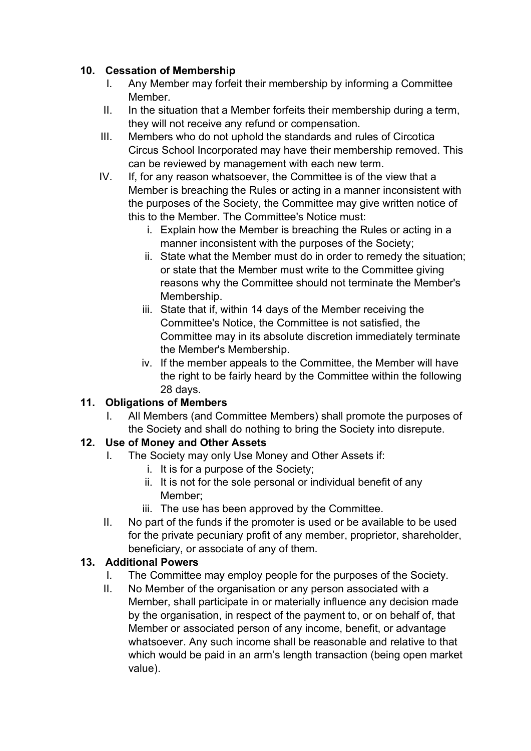# 10. Cessation of Membership

- I. Any Member may forfeit their membership by informing a Committee **Member**
- II. In the situation that a Member forfeits their membership during a term, they will not receive any refund or compensation.
- III. Members who do not uphold the standards and rules of Circotica Circus School Incorporated may have their membership removed. This can be reviewed by management with each new term.
- IV. If, for any reason whatsoever, the Committee is of the view that a Member is breaching the Rules or acting in a manner inconsistent with the purposes of the Society, the Committee may give written notice of this to the Member. The Committee's Notice must:
	- i. Explain how the Member is breaching the Rules or acting in a manner inconsistent with the purposes of the Society;
	- ii. State what the Member must do in order to remedy the situation; or state that the Member must write to the Committee giving reasons why the Committee should not terminate the Member's Membership.
	- iii. State that if, within 14 days of the Member receiving the Committee's Notice, the Committee is not satisfied, the Committee may in its absolute discretion immediately terminate the Member's Membership.
	- iv. If the member appeals to the Committee, the Member will have the right to be fairly heard by the Committee within the following 28 days.

# 11. Obligations of Members

I. All Members (and Committee Members) shall promote the purposes of the Society and shall do nothing to bring the Society into disrepute.

# 12. Use of Money and Other Assets

- I. The Society may only Use Money and Other Assets if:
	- i. It is for a purpose of the Society;
	- ii. It is not for the sole personal or individual benefit of any Member;
	- iii. The use has been approved by the Committee.
- II. No part of the funds if the promoter is used or be available to be used for the private pecuniary profit of any member, proprietor, shareholder, beneficiary, or associate of any of them.

# 13. Additional Powers

- I. The Committee may employ people for the purposes of the Society.
- II. No Member of the organisation or any person associated with a Member, shall participate in or materially influence any decision made by the organisation, in respect of the payment to, or on behalf of, that Member or associated person of any income, benefit, or advantage whatsoever. Any such income shall be reasonable and relative to that which would be paid in an arm's length transaction (being open market value).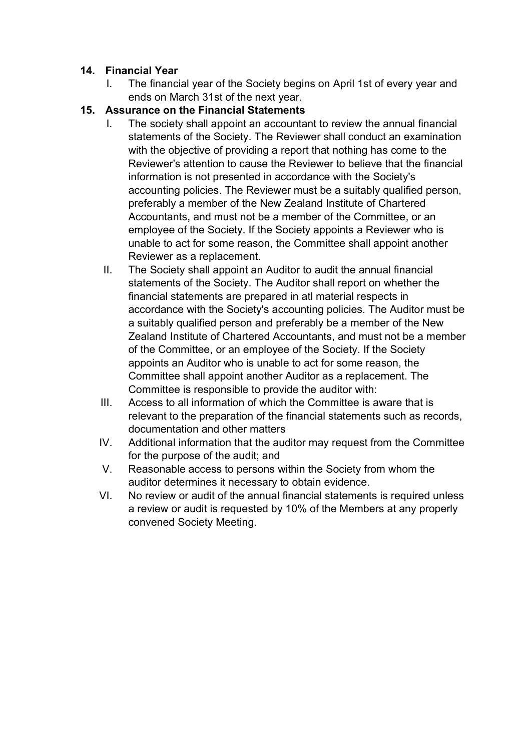### 14. Financial Year

I. The financial year of the Society begins on April 1st of every year and ends on March 31st of the next year.

## 15. Assurance on the Financial Statements

- I. The society shall appoint an accountant to review the annual financial statements of the Society. The Reviewer shall conduct an examination with the objective of providing a report that nothing has come to the Reviewer's attention to cause the Reviewer to believe that the financial information is not presented in accordance with the Society's accounting policies. The Reviewer must be a suitably qualified person, preferably a member of the New Zealand Institute of Chartered Accountants, and must not be a member of the Committee, or an employee of the Society. If the Society appoints a Reviewer who is unable to act for some reason, the Committee shall appoint another Reviewer as a replacement.
- II. The Society shall appoint an Auditor to audit the annual financial statements of the Society. The Auditor shall report on whether the financial statements are prepared in atl material respects in accordance with the Society's accounting policies. The Auditor must be a suitably qualified person and preferably be a member of the New Zealand Institute of Chartered Accountants, and must not be a member of the Committee, or an employee of the Society. If the Society appoints an Auditor who is unable to act for some reason, the Committee shall appoint another Auditor as a replacement. The Committee is responsible to provide the auditor with:
- III. Access to all information of which the Committee is aware that is relevant to the preparation of the financial statements such as records, documentation and other matters
- IV. Additional information that the auditor may request from the Committee for the purpose of the audit; and
- V. Reasonable access to persons within the Society from whom the auditor determines it necessary to obtain evidence.
- VI. No review or audit of the annual financial statements is required unless a review or audit is requested by 10% of the Members at any properly convened Society Meeting.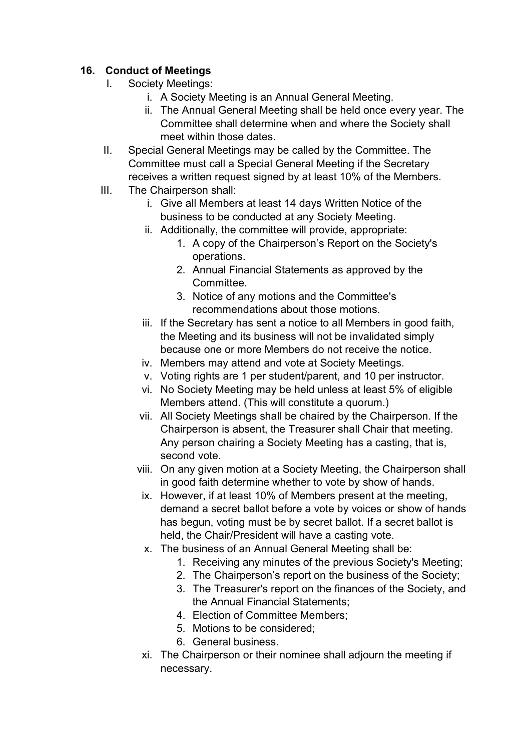# 16. Conduct of Meetings

- I. Society Meetings:
	- i. A Society Meeting is an Annual General Meeting.
	- ii. The Annual General Meeting shall be held once every year. The Committee shall determine when and where the Society shall meet within those dates.
- II. Special General Meetings may be called by the Committee. The Committee must call a Special General Meeting if the Secretary receives a written request signed by at least 10% of the Members.
- III. The Chairperson shall:
	- i. Give all Members at least 14 days Written Notice of the business to be conducted at any Society Meeting.
	- ii. Additionally, the committee will provide, appropriate:
		- 1. A copy of the Chairperson's Report on the Society's operations.
		- 2. Annual Financial Statements as approved by the **Committee**
		- 3. Notice of any motions and the Committee's recommendations about those motions.
	- iii. If the Secretary has sent a notice to all Members in good faith, the Meeting and its business will not be invalidated simply because one or more Members do not receive the notice.
	- iv. Members may attend and vote at Society Meetings.
	- v. Voting rights are 1 per student/parent, and 10 per instructor.
	- vi. No Society Meeting may be held unless at least 5% of eligible Members attend. (This will constitute a quorum.)
	- vii. All Society Meetings shall be chaired by the Chairperson. If the Chairperson is absent, the Treasurer shall Chair that meeting. Any person chairing a Society Meeting has a casting, that is, second vote.
	- viii. On any given motion at a Society Meeting, the Chairperson shall in good faith determine whether to vote by show of hands.
	- ix. However, if at least 10% of Members present at the meeting, demand a secret ballot before a vote by voices or show of hands has begun, voting must be by secret ballot. If a secret ballot is held, the Chair/President will have a casting vote.
	- x. The business of an Annual General Meeting shall be:
		- 1. Receiving any minutes of the previous Society's Meeting;
		- 2. The Chairperson's report on the business of the Society;
		- 3. The Treasurer's report on the finances of the Society, and the Annual Financial Statements;
		- 4. Election of Committee Members;
		- 5. Motions to be considered;
		- 6. General business.
	- xi. The Chairperson or their nominee shall adjourn the meeting if necessary.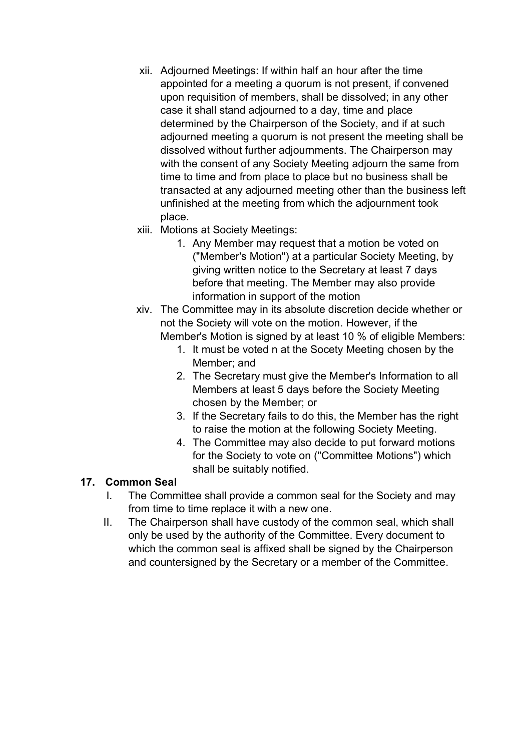- xii. Adjourned Meetings: If within half an hour after the time appointed for a meeting a quorum is not present, if convened upon requisition of members, shall be dissolved; in any other case it shall stand adjourned to a day, time and place determined by the Chairperson of the Society, and if at such adjourned meeting a quorum is not present the meeting shall be dissolved without further adjournments. The Chairperson may with the consent of any Society Meeting adjourn the same from time to time and from place to place but no business shall be transacted at any adjourned meeting other than the business left unfinished at the meeting from which the adjournment took place.
- xiii. Motions at Society Meetings:
	- 1. Any Member may request that a motion be voted on ("Member's Motion") at a particular Society Meeting, by giving written notice to the Secretary at least 7 days before that meeting. The Member may also provide information in support of the motion

xiv. The Committee may in its absolute discretion decide whether or not the Society will vote on the motion. However, if the Member's Motion is signed by at least 10 % of eligible Members:

- 1. It must be voted n at the Socety Meeting chosen by the Member; and
- 2. The Secretary must give the Member's Information to all Members at least 5 days before the Society Meeting chosen by the Member; or
- 3. If the Secretary fails to do this, the Member has the right to raise the motion at the following Society Meeting.
- 4. The Committee may also decide to put forward motions for the Society to vote on ("Committee Motions") which shall be suitably notified.

#### 17. Common Seal

- I. The Committee shall provide a common seal for the Society and may from time to time replace it with a new one.
- II. The Chairperson shall have custody of the common seal, which shall only be used by the authority of the Committee. Every document to which the common seal is affixed shall be signed by the Chairperson and countersigned by the Secretary or a member of the Committee.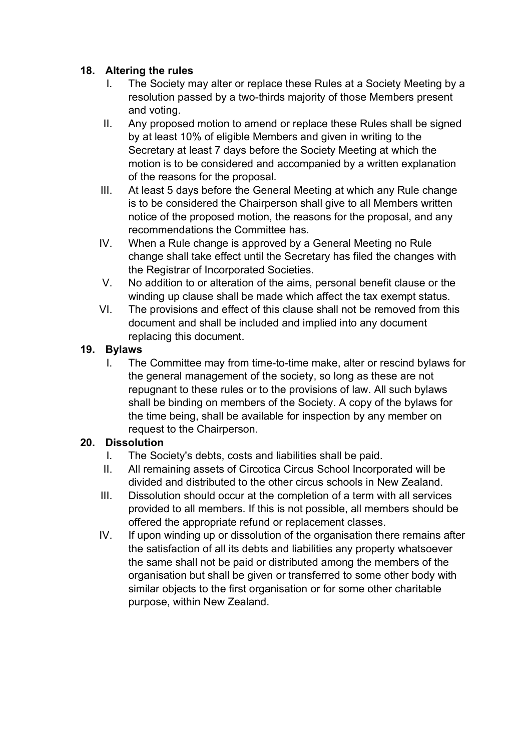### 18. Altering the rules

- I. The Society may alter or replace these Rules at a Society Meeting by a resolution passed by a two-thirds majority of those Members present and voting.
- II. Any proposed motion to amend or replace these Rules shall be signed by at least 10% of eligible Members and given in writing to the Secretary at least 7 days before the Society Meeting at which the motion is to be considered and accompanied by a written explanation of the reasons for the proposal.
- III. At least 5 days before the General Meeting at which any Rule change is to be considered the Chairperson shall give to all Members written notice of the proposed motion, the reasons for the proposal, and any recommendations the Committee has.
- IV. When a Rule change is approved by a General Meeting no Rule change shall take effect until the Secretary has filed the changes with the Registrar of Incorporated Societies.
- V. No addition to or alteration of the aims, personal benefit clause or the winding up clause shall be made which affect the tax exempt status.
- VI. The provisions and effect of this clause shall not be removed from this document and shall be included and implied into any document replacing this document.

# 19. Bylaws

I. The Committee may from time-to-time make, alter or rescind bylaws for the general management of the society, so long as these are not repugnant to these rules or to the provisions of law. All such bylaws shall be binding on members of the Society. A copy of the bylaws for the time being, shall be available for inspection by any member on request to the Chairperson.

# 20. Dissolution

- I. The Society's debts, costs and liabilities shall be paid.
- II. All remaining assets of Circotica Circus School Incorporated will be divided and distributed to the other circus schools in New Zealand.
- III. Dissolution should occur at the completion of a term with all services provided to all members. If this is not possible, all members should be offered the appropriate refund or replacement classes.
- IV. If upon winding up or dissolution of the organisation there remains after the satisfaction of all its debts and liabilities any property whatsoever the same shall not be paid or distributed among the members of the organisation but shall be given or transferred to some other body with similar objects to the first organisation or for some other charitable purpose, within New Zealand.